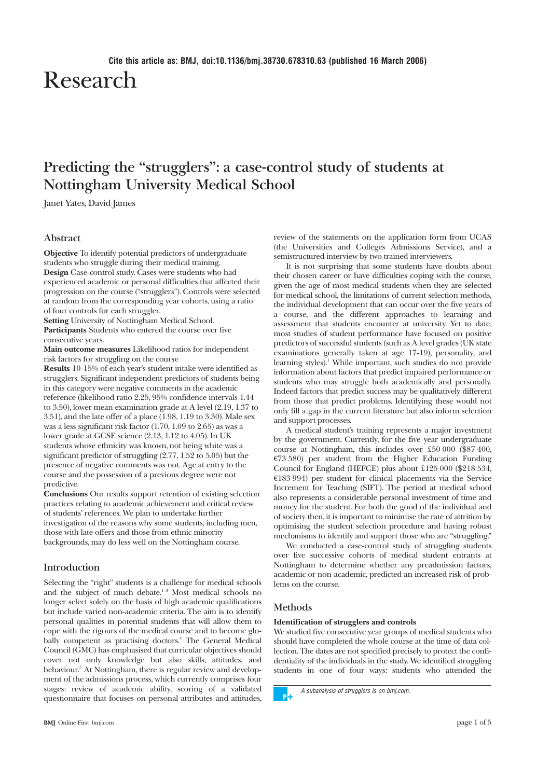Research

# **Predicting the "strugglers": a case-control study of students at Nottingham University Medical School**

Janet Yates, David James

# **Abstract**

**Objective** To identify potential predictors of undergraduate students who struggle during their medical training. **Design** Case-control study. Cases were students who had experienced academic or personal difficulties that affected their progression on the course ("strugglers"). Controls were selected at random from the corresponding year cohorts, using a ratio of four controls for each struggler.

**Setting** University of Nottingham Medical School. **Participants** Students who entered the course over five

consecutive years.

**Main outcome measures** Likelihood ratios for independent risk factors for struggling on the course

**Results** 10-15% of each year's student intake were identified as strugglers. Significant independent predictors of students being in this category were negative comments in the academic reference (likelihood ratio 2.25, 95% confidence intervals 1.44 to 3.50), lower mean examination grade at A level (2.19, 1.37 to 3.51), and the late offer of a place (1.98, 1.19 to 3.30). Male sex was a less significant risk factor (1.70, 1.09 to 2.65) as was a lower grade at GCSE science (2.13, 1.12 to 4.05). In UK students whose ethnicity was known, not being white was a significant predictor of struggling (2.77, 1.52 to 5.05) but the presence of negative comments was not. Age at entry to the course and the possession of a previous degree were not predictive.

**Conclusions** Our results support retention of existing selection practices relating to academic achievement and critical review of students' references. We plan to undertake further investigation of the reasons why some students, including men, those with late offers and those from ethnic minority backgrounds, may do less well on the Nottingham course.

# **Introduction**

Selecting the "right" students is a challenge for medical schools and the subject of much debate.<sup>1-3</sup> Most medical schools no longer select solely on the basis of high academic qualifications but include varied non-academic criteria. The aim is to identify personal qualities in potential students that will allow them to cope with the rigours of the medical course and to become globally competent as practising doctors.4 The General Medical Council (GMC) has emphasised that curricular objectives should cover not only knowledge but also skills, attitudes, and behaviour.<sup>5</sup> At Nottingham, there is regular review and development of the admissions process, which currently comprises four stages: review of academic ability, scoring of a validated questionnaire that focuses on personal attributes and attitudes,

**BMJ** Online First bmj.com **page 1 of 5** 

review of the statements on the application form from UCAS (the Universities and Colleges Admissions Service), and a semistructured interview by two trained interviewers.

It is not surprising that some students have doubts about their chosen career or have difficulties coping with the course, given the age of most medical students when they are selected for medical school, the limitations of current selection methods, the individual development that can occur over the five years of a course, and the different approaches to learning and assessment that students encounter at university. Yet to date, most studies of student performance have focused on positive predictors of successful students (such as A level grades (UK state examinations generally taken at age 17-19), personality, and learning styles).<sup>1</sup> While important, such studies do not provide information about factors that predict impaired performance or students who may struggle both academically and personally. Indeed factors that predict success may be qualitatively different from those that predict problems. Identifying these would not only fill a gap in the current literature but also inform selection and support processes.

A medical student's training represents a major investment by the government. Currently, for the five year undergraduate course at Nottingham, this includes over £50 000 (\$87 400, €73 580) per student from the Higher Education Funding Council for England (HEFCE) plus about £125 000 (\$218 534, €183 994) per student for clinical placements via the Service Increment for Teaching (SIFT). The period at medical school also represents a considerable personal investment of time and money for the student. For both the good of the individual and of society then, it is important to minimise the rate of attrition by optimising the student selection procedure and having robust mechanisms to identify and support those who are "struggling."

We conducted a case-control study of struggling students over five successive cohorts of medical student entrants at Nottingham to determine whether any preadmission factors, academic or non-academic, predicted an increased risk of problems on the course.

# **Methods**

## **Identification of strugglers and controls**

We studied five consecutive year groups of medical students who should have completed the whole course at the time of data collection. The dates are not specified precisely to protect the confidentiality of the individuals in the study. We identified struggling students in one of four ways: students who attended the

A subanalysis of strugglers is on bmj.com.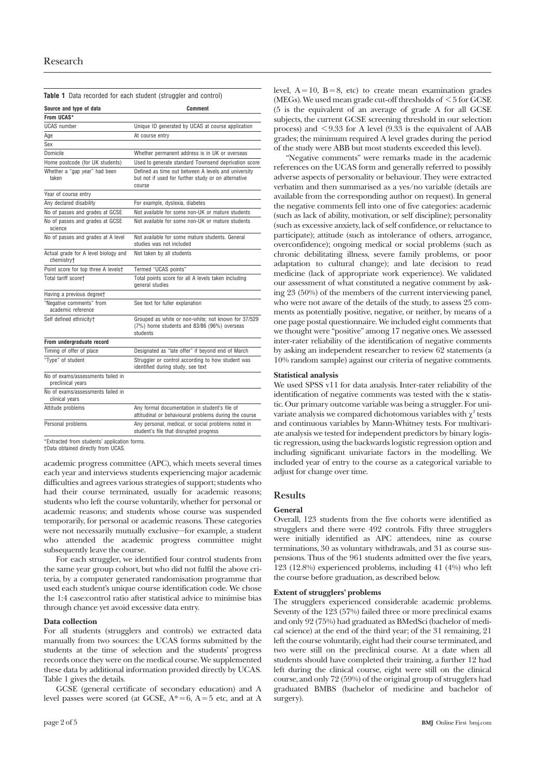|  |  |  |  |  |  | Table 1 Data recorded for each student (struggler and control) |  |  |
|--|--|--|--|--|--|----------------------------------------------------------------|--|--|
|--|--|--|--|--|--|----------------------------------------------------------------|--|--|

| Source and type of data                                | <b>Comment</b>                                                                                                       |  |  |  |
|--------------------------------------------------------|----------------------------------------------------------------------------------------------------------------------|--|--|--|
| From UCAS*                                             |                                                                                                                      |  |  |  |
| <b>UCAS</b> number                                     | Unique ID generated by UCAS at course application                                                                    |  |  |  |
| Age                                                    | At course entry                                                                                                      |  |  |  |
| Sex                                                    |                                                                                                                      |  |  |  |
| Domicile                                               | Whether permanent address is in UK or overseas                                                                       |  |  |  |
| Home postcode (for UK students)                        | Used to generate standard Townsend deprivation score                                                                 |  |  |  |
| Whether a "gap year" had been<br>taken                 | Defined as time out between A levels and university<br>but not if used for further study or on alternative<br>course |  |  |  |
| Year of course entry                                   |                                                                                                                      |  |  |  |
| Any declared disability                                | For example, dyslexia, diabetes                                                                                      |  |  |  |
| No of passes and grades at GCSE                        | Not available for some non-UK or mature students                                                                     |  |  |  |
| No of passes and grades at GCSE<br>science             | Not available for some non-UK or mature students                                                                     |  |  |  |
| No of passes and grades at A level                     | Not available for some mature students. General<br>studies was not included                                          |  |  |  |
| Actual grade for A level biology and<br>chemistry+     | Not taken by all students                                                                                            |  |  |  |
| Point score for top three A levels†                    | Termed "UCAS points"                                                                                                 |  |  |  |
| Total tariff scoret                                    | Total points score for all A levels taken including<br>general studies                                               |  |  |  |
| Having a previous degree†                              |                                                                                                                      |  |  |  |
| "Negative comments" from<br>academic reference         | See text for fuller explanation                                                                                      |  |  |  |
| Self defined ethnicity <sup>+</sup>                    | Grouped as white or non-white: not known for 37/529<br>(7%) home students and 83/86 (96%) overseas<br>students       |  |  |  |
| From undergraduate record                              |                                                                                                                      |  |  |  |
| Timing of offer of place                               | Designated as "late offer" if beyond end of March                                                                    |  |  |  |
| "Type" of student                                      | Struggler or control according to how student was<br>identified during study, see text                               |  |  |  |
| No of exams/assessments failed in<br>preclinical years |                                                                                                                      |  |  |  |
| No of exams/assessments failed in<br>clinical years    |                                                                                                                      |  |  |  |
| Attitude problems                                      | Any formal documentation in student's file of<br>attitudinal or behavioural problems during the course               |  |  |  |
| Personal problems                                      | Any personal, medical, or social problems noted in<br>student's file that disrupted progress                         |  |  |  |

\*Extracted from students' application forms.

†Data obtained directly from UCAS.

academic progress committee (APC), which meets several times each year and interviews students experiencing major academic difficulties and agrees various strategies of support; students who had their course terminated, usually for academic reasons; students who left the course voluntarily, whether for personal or academic reasons; and students whose course was suspended temporarily, for personal or academic reasons. These categories were not necessarily mutually exclusive—for example, a student who attended the academic progress committee might subsequently leave the course.

For each struggler, we identified four control students from the same year group cohort, but who did not fulfil the above criteria, by a computer generated randomisation programme that used each student's unique course identification code. We chose the 1:4 case:control ratio after statistical advice to minimise bias through chance yet avoid excessive data entry.

#### **Data collection**

For all students (strugglers and controls) we extracted data manually from two sources: the UCAS forms submitted by the students at the time of selection and the students' progress records once they were on the medical course. We supplemented these data by additional information provided directly by UCAS. Table 1 gives the details.

GCSE (general certificate of secondary education) and A level passes were scored (at GCSE,  $A^* = 6$ ,  $A = 5$  etc, and at A level,  $A = 10$ ,  $B = 8$ , etc) to create mean examination grades (MEGs). We used mean grade cut-off thresholds of  $\leq$  5 for GCSE (5 is the equivalent of an average of grade A for all GCSE subjects, the current GCSE screening threshold in our selection process) and < 9.33 for A level (9.33 is the equivalent of AAB grades; the minimum required A level grades during the period of the study were ABB but most students exceeded this level).

"Negative comments" were remarks made in the academic references on the UCAS form and generally referred to possibly adverse aspects of personality or behaviour. They were extracted verbatim and then summarised as a yes/no variable (details are available from the corresponding author on request). In general the negative comments fell into one of five categories: academic (such as lack of ability, motivation, or self discipline); personality (such as excessive anxiety, lack of self confidence, or reluctance to participate); attitude (such as intolerance of others, arrogance, overconfidence); ongoing medical or social problems (such as chronic debilitating illness, severe family problems, or poor adaptation to cultural change); and late decision to read medicine (lack of appropriate work experience). We validated our assessment of what constituted a negative comment by asking 23 (50%) of the members of the current interviewing panel, who were not aware of the details of the study, to assess 25 comments as potentially positive, negative, or neither, by means of a one page postal questionnaire. We included eight comments that we thought were "positive" among 17 negative ones. We assessed inter-rater reliability of the identification of negative comments by asking an independent researcher to review 62 statements (a 10% random sample) against our criteria of negative comments.

## **Statistical analysis**

We used SPSS v11 for data analysis. Inter-rater reliability of the identification of negative comments was tested with the  $\kappa$  statistic. Our primary outcome variable was being a struggler. For univariate analysis we compared dichotomous variables with  $\chi^2$  tests and continuous variables by Mann-Whitney tests. For multivariate analysis we tested for independent predictors by binary logistic regression, using the backwards logistic regression option and including significant univariate factors in the modelling. We included year of entry to the course as a categorical variable to adjust for change over time.

# **Results**

#### **General**

Overall, 123 students from the five cohorts were identified as strugglers and there were 492 controls. Fifty three strugglers were initially identified as APC attendees, nine as course terminations, 30 as voluntary withdrawals, and 31 as course suspensions. Thus of the 961 students admitted over the five years, 123 (12.8%) experienced problems, including 41 (4%) who left the course before graduation, as described below.

#### **Extent of strugglers' problems**

The strugglers experienced considerable academic problems. Seventy of the 123 (57%) failed three or more preclinical exams and only 92 (75%) had graduated as BMedSci (bachelor of medical science) at the end of the third year; of the 31 remaining, 21 left the course voluntarily, eight had their course terminated, and two were still on the preclinical course. At a date when all students should have completed their training, a further 12 had left during the clinical course, eight were still on the clinical course, and only 72 (59%) of the original group of strugglers had graduated BMBS (bachelor of medicine and bachelor of surgery).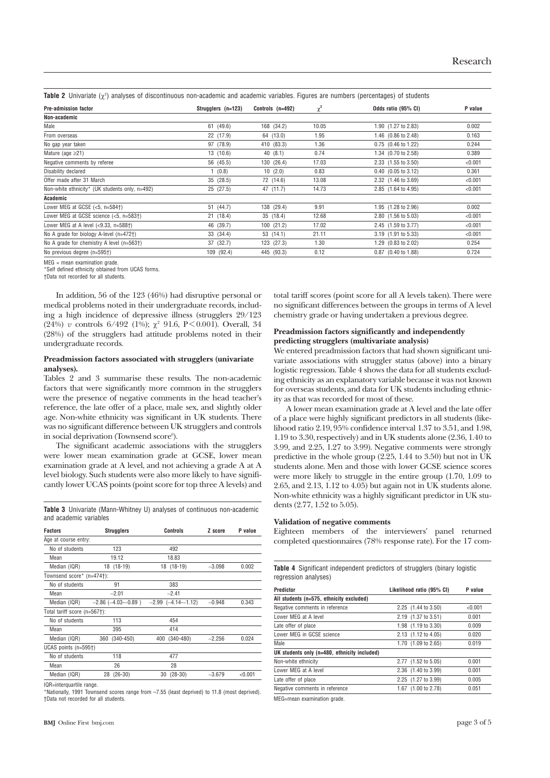| <b>Table 2</b> Univariate ( $\chi^2$ ) analyses of discontinuous non-academic and academic variables. Figures are numbers (percentages) of students |  |
|-----------------------------------------------------------------------------------------------------------------------------------------------------|--|
|-----------------------------------------------------------------------------------------------------------------------------------------------------|--|

| <b>Pre-admission factor</b>                    | Strugglers (n=123) | Controls (n=492) | $\chi^2$ | Odds ratio (95% CI)              | P value |
|------------------------------------------------|--------------------|------------------|----------|----------------------------------|---------|
| Non-academic                                   |                    |                  |          |                                  |         |
| Male                                           | 61 (49.6)          | 168 (34.2)       | 10.05    | 1.90 (1.27 to 2.83)              | 0.002   |
| From overseas                                  | 22 (17.9)          | 64 (13.0)        | 1.95     | 1.46 (0.86 to 2.48)              | 0.163   |
| No gap year taken                              | 97 (78.9)          | 410 (83.3)       | 1.36     | 0.75 (0.46 to 1.22)              | 0.244   |
| Mature (age $\geq$ 21)                         | 13 (10.6)          | 40(8.1)          | 0.74     | 1.34 (0.70 to 2.58)              | 0.389   |
| Negative comments by referee                   | 56 (45.5)          | 130 (26.4)       | 17.03    | 2.33 (1.55 to 3.50)              | < 0.001 |
| Disability declared                            | 1(0.8)             | 10(2.0)          | 0.83     | $0.40$ $(0.05 \text{ to } 3.12)$ | 0.361   |
| Offer made after 31 March                      | 35(28.5)           | 72 (14.6)        | 13.08    | 2.32 (1.46 to 3.69)              | < 0.001 |
| Non-white ethnicity* (UK students only, n=492) | 25(27.5)           | 47 (11.7)        | 14.73    | 2.85 (1.64 to 4.95)              | < 0.001 |
| Academic                                       |                    |                  |          |                                  |         |
| Lower MEG at GCSE $(<5, n=584+)$               | 51 (44.7)          | 138 (29.4)       | 9.91     | 1.95 (1.28 to 2.96)              | 0.002   |
| Lower MEG at GCSE science (<5, n=583†)         | 21(18.4)           | 35 (18.4)        | 12.68    | 2.80 (1.56 to 5.03)              | < 0.001 |
| Lower MEG at A level $(9.33, n=588\dagger)$    | 46 (39.7)          | 100(21.2)        | 17.02    | 2.45 (1.59 to 3.77)              | < 0.001 |
| No A grade for biology A-level (n=472†)        | 33 (34.4)          | 53 (14.1)        | 21.11    | 3.19 (1.91 to 5.33)              | < 0.001 |
| No A grade for chemistry A level (n=563†)      | 37 (32.7)          | 123 (27.3)       | 1.30     | 1.29 (0.83 to 2.02)              | 0.254   |
| No previous degree (n=595†)                    | 109 (92.4)         | 445 (93.3)       | 0.12     | 0.87 (0.40 to 1.88)              | 0.724   |

 $MEG = mean$  examination grade.

\*Self defined ethnicity obtained from UCAS forms.

†Data not recorded for all students.

In addition, 56 of the 123 (46%) had disruptive personal or medical problems noted in their undergraduate records, including a high incidence of depressive illness (strugglers 29/123 (24%) *v* controls 6/492 (1%);  $\chi^2$  91.6, P<0.001). Overall, 34 (28%) of the strugglers had attitude problems noted in their undergraduate records.

#### **Preadmission factors associated with strugglers (univariate analyses).**

Tables 2 and 3 summarise these results. The non-academic factors that were significantly more common in the strugglers were the presence of negative comments in the head teacher's reference, the late offer of a place, male sex, and slightly older age. Non-white ethnicity was significant in UK students. There was no significant difference between UK strugglers and controls in social deprivation (Townsend score<sup>6</sup>).

The significant academic associations with the strugglers were lower mean examination grade at GCSE, lower mean examination grade at A level, and not achieving a grade A at A level biology. Such students were also more likely to have significantly lower UCAS points (point score for top three A levels) and

**Table 3** Univariate (Mann-Whitney U) analyses of continuous non-academic and academic variables

| <b>Factors</b>               | <b>Strugglers</b>          | <b>Controls</b>          | Z score  | P value |
|------------------------------|----------------------------|--------------------------|----------|---------|
| Age at course entry:         |                            |                          |          |         |
| No of students               | 123                        | 492                      |          |         |
| Mean                         | 19.12                      | 18.83                    |          |         |
| Median (IQR)                 | 18 (18-19)                 | 18 (18-19)               | $-3.098$ | 0.002   |
| Townsend score* (n=474†):    |                            |                          |          |         |
| No of students               | 91                         | 383                      |          |         |
| Mean                         | $-2.01$                    | $-2.41$                  |          |         |
| Median (IQR)                 | $-2.86$ ( $-4.03 - 0.89$ ) | $-2.99$ $(-4.14 - 1.12)$ | $-0.948$ | 0.343   |
| Total tariff score (n=567†): |                            |                          |          |         |
| No of students               | 113                        | 454                      |          |         |
| Mean                         | 395                        | 414                      |          |         |
| Median (IQR)                 | $(340 - 450)$<br>360       | $(340 - 480)$<br>400     | $-2.256$ | 0.024   |
| UCAS points (n=595†)         |                            |                          |          |         |
| No of students               | 118                        | 477                      |          |         |
| Mean                         | 26                         | 28                       |          |         |
| Median (IQR)                 | 28<br>$(26-30)$            | $(28-30)$<br>30          | $-3.679$ | < 0.001 |

IQR=interquartile range.

\*Nationally, 1991 Townsend scores range from –7.55 (least deprived) to 11.8 (most deprived). †Data not recorded for all students.

total tariff scores (point score for all A levels taken). There were no significant differences between the groups in terms of A level chemistry grade or having undertaken a previous degree.

## **Preadmission factors significantly and independently predicting strugglers (multivariate analysis)**

We entered preadmission factors that had shown significant univariate associations with struggler status (above) into a binary logistic regression. Table 4 shows the data for all students excluding ethnicity as an explanatory variable because it was not known for overseas students, and data for UK students including ethnicity as that was recorded for most of these.

A lower mean examination grade at A level and the late offer of a place were highly significant predictors in all students (likelihood ratio 2.19, 95% confidence interval 1.37 to 3.51, and 1.98, 1.19 to 3.30, respectively) and in UK students alone (2.36, 1.40 to 3.99, and 2.25, 1.27 to 3.99). Negative comments were strongly predictive in the whole group (2.25, 1.44 to 3.50) but not in UK students alone. Men and those with lower GCSE science scores were more likely to struggle in the entire group (1.70, 1.09 to 2.65, and 2.13, 1.12 to 4.05) but again not in UK students alone. Non-white ethnicity was a highly significant predictor in UK students (2.77, 1.52 to 5.05).

### **Validation of negative comments**

Eighteen members of the interviewers' panel returned completed questionnaires (78% response rate). For the 17 com-

**Table 4** Significant independent predictors of strugglers (binary logistic regression analyses)

| Predictor                                    | Likelihood ratio (95% CI) | P value |
|----------------------------------------------|---------------------------|---------|
| All students (n=575, ethnicity excluded)     |                           |         |
| Negative comments in reference               | 2.25 (1.44 to 3.50)       | < 0.001 |
| Lower MEG at A level                         | 2.19 (1.37 to 3.51)       | 0.001   |
| Late offer of place                          | 1.98 (1.19 to 3.30)       | 0.009   |
| Lower MEG in GCSE science                    | 2.13 (1.12 to 4.05)       | 0.020   |
| Male                                         | 1.70 (1.09 to 2.65)       | 0.019   |
| UK students only (n=480, ethnicity included) |                           |         |
| Non-white ethnicity                          | 2.77 (1.52 to 5.05)       | 0.001   |
| Lower MEG at A level                         | 2.36 (1.40 to 3.99)       | 0.001   |
| Late offer of place                          | 2.25 (1.27 to 3.99)       | 0.005   |
| Negative comments in reference               | 1.67 (1.00 to 2.78)       | 0.051   |

MEG=mean examination grade.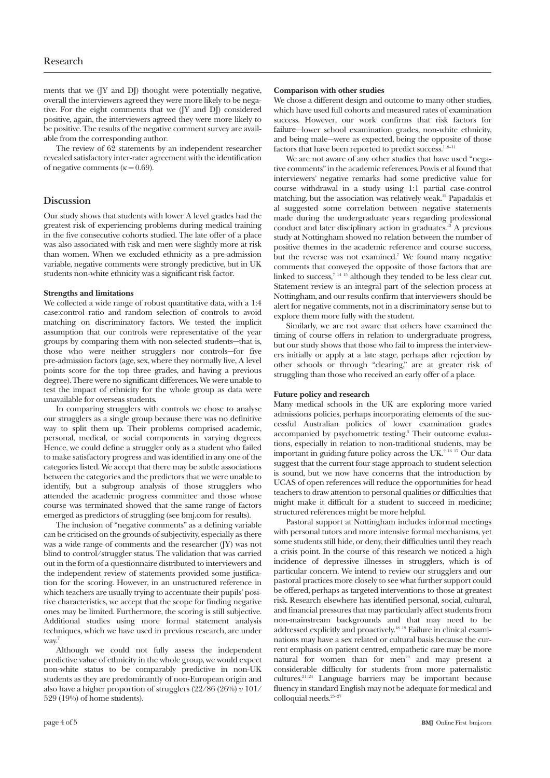ments that we (JY and DJ) thought were potentially negative, overall the interviewers agreed they were more likely to be negative. For the eight comments that we (JY and DJ) considered positive, again, the interviewers agreed they were more likely to be positive. The results of the negative comment survey are available from the corresponding author.

The review of  $62$  statements by an independent researcher revealed satisfactory inter-rater agreement with the identification of negative comments ( $\kappa$  = 0.69).

# **Discussion**

Our study shows that students with lower A level grades had the greatest risk of experiencing problems during medical training in the five consecutive cohorts studied. The late offer of a place was also associated with risk and men were slightly more at risk than women. When we excluded ethnicity as a pre-admission variable, negative comments were strongly predictive, but in UK students non-white ethnicity was a significant risk factor.

#### **Strengths and limitations**

We collected a wide range of robust quantitative data, with a 1:4 case:control ratio and random selection of controls to avoid matching on discriminatory factors. We tested the implicit assumption that our controls were representative of the year groups by comparing them with non-selected students—that is, those who were neither strugglers nor controls—for five pre-admission factors (age, sex, where they normally live, A level points score for the top three grades, and having a previous degree). There were no significant differences. We were unable to test the impact of ethnicity for the whole group as data were unavailable for overseas students.

In comparing strugglers with controls we chose to analyse our strugglers as a single group because there was no definitive way to split them up. Their problems comprised academic, personal, medical, or social components in varying degrees. Hence, we could define a struggler only as a student who failed to make satisfactory progress and was identified in any one of the categories listed. We accept that there may be subtle associations between the categories and the predictors that we were unable to identify, but a subgroup analysis of those strugglers who attended the academic progress committee and those whose course was terminated showed that the same range of factors emerged as predictors of struggling (see bmj.com for results).

The inclusion of "negative comments" as a defining variable can be criticised on the grounds of subjectivity, especially as there was a wide range of comments and the researcher (JY) was not blind to control/struggler status. The validation that was carried out in the form of a questionnaire distributed to interviewers and the independent review of statements provided some justification for the scoring. However, in an unstructured reference in which teachers are usually trying to accentuate their pupils' positive characteristics, we accept that the scope for finding negative ones may be limited. Furthermore, the scoring is still subjective. Additional studies using more formal statement analysis techniques, which we have used in previous research, are under way.<sup>7</sup>

Although we could not fully assess the independent predictive value of ethnicity in the whole group, we would expect non-white status to be comparably predictive in non-UK students as they are predominantly of non-European origin and also have a higher proportion of strugglers (22/86 (26%) *v* 101/ 529 (19%) of home students).

#### **Comparison with other studies**

We chose a different design and outcome to many other studies, which have used full cohorts and measured rates of examination success. However, our work confirms that risk factors for failure—lower school examination grades, non-white ethnicity, and being male—were as expected, being the opposite of those factors that have been reported to predict success.<sup>18-11</sup>

We are not aware of any other studies that have used "negative comments" in the academic references. Powis et al found that interviewers' negative remarks had some predictive value for course withdrawal in a study using 1:1 partial case-control matching, but the association was relatively weak.12 Papadakis et al suggested some correlation between negative statements made during the undergraduate years regarding professional conduct and later disciplinary action in graduates.<sup>13</sup> A previous study at Nottingham showed no relation between the number of positive themes in the academic reference and course success, but the reverse was not examined.<sup>7</sup> We found many negative comments that conveyed the opposite of those factors that are linked to success,<sup> $714,15$ </sup> although they tended to be less clear cut. Statement review is an integral part of the selection process at Nottingham, and our results confirm that interviewers should be alert for negative comments, not in a discriminatory sense but to explore them more fully with the student.

Similarly, we are not aware that others have examined the timing of course offers in relation to undergraduate progress, but our study shows that those who fail to impress the interviewers initially or apply at a late stage, perhaps after rejection by other schools or through "clearing," are at greater risk of struggling than those who received an early offer of a place.

#### **Future policy and research**

Many medical schools in the UK are exploring more varied admissions policies, perhaps incorporating elements of the successful Australian policies of lower examination grades accompanied by psychometric testing.<sup>3</sup> Their outcome evaluations, especially in relation to non-traditional students, may be important in guiding future policy across the UK.<sup>2 16 17</sup> Our data suggest that the current four stage approach to student selection is sound, but we now have concerns that the introduction by UCAS of open references will reduce the opportunities for head teachers to draw attention to personal qualities or difficulties that might make it difficult for a student to succeed in medicine; structured references might be more helpful.

Pastoral support at Nottingham includes informal meetings with personal tutors and more intensive formal mechanisms, yet some students still hide, or deny, their difficulties until they reach a crisis point. In the course of this research we noticed a high incidence of depressive illnesses in strugglers, which is of particular concern. We intend to review our strugglers and our pastoral practices more closely to see what further support could be offered, perhaps as targeted interventions to those at greatest risk. Research elsewhere has identified personal, social, cultural, and financial pressures that may particularly affect students from non-mainstream backgrounds and that may need to be addressed explicitly and proactively.18 19 Failure in clinical examinations may have a sex related or cultural basis because the current emphasis on patient centred, empathetic care may be more natural for women than for men<sup>20</sup> and may present a considerable difficulty for students from more paternalistic cultures.21–24 Language barriers may be important because fluency in standard English may not be adequate for medical and colloquial needs.<sup>25-27</sup>